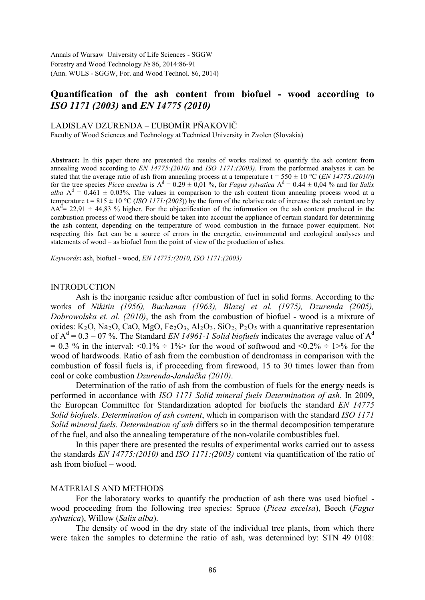Annals of Warsaw University of Life Sciences - SGGW Forestry and Wood Technology № 86, 2014:86-91 (Ann. WULS - SGGW, For. and Wood Technol. 86, 2014)

# **Quantification of the ash content from biofuel - wood according to**  *ISO 1171 (2003)* **and** *EN 14775 (2010)*

#### LADISLAV DZURENDA – ĽUBOMÍR PŇAKOVIČ

Faculty of Wood Sciences and Technology at Technical University in Zvolen (Slovakia)

**Abstract:** In this paper there are presented the results of works realized to quantify the ash content from annealing wood according to *EN 14775:(2010)* and *ISO 1171:(2003)*. From the performed analyses it can be stated that the average ratio of ash from annealing process at a temperature  $t = 550 \pm 10$  °C (*EN 14775:(2010*)) for the tree species *Picea excelsa* is  $A^d = 0.29 \pm 0.01$  %, for *Fagus sylvatica*  $A^d = 0.44 \pm 0.04$  % and for *Salix alba*  $A^d = 0.461 \pm 0.03\%$ . The values in comparison to the ash content from annealing process wood at a temperature t =  $815 \pm 10$  °C (*ISO 1171:(2003*)) by the form of the relative rate of increase the ash content are by  $\Delta A^{\bar{d}}$  = 22,91 ÷ 44,83 % higher. For the objectification of the information on the ash content produced in the combustion process of wood there should be taken into account the appliance of certain standard for determining the ash content, depending on the temperature of wood combustion in the furnace power equipment. Not respecting this fact can be a source of errors in the energetic, environmental and ecological analyses and statements of wood – as biofuel from the point of view of the production of ashes.

*Keywords***:** ash, biofuel - wood, *EN 14775:(2010, ISO 1171:(2003)*

### INTRODUCTION

Ash is the inorganic residue after combustion of fuel in solid forms. According to the works of *Nikitin (1956), Buchanan (1963), Blazej et al. (1975), Dzurenda (2005), Dobrowolska et. al. (2010)*, the ash from the combustion of biofuel - wood is a mixture of oxides: K<sub>2</sub>O, Na<sub>2</sub>O, CaO, MgO, Fe<sub>2</sub>O<sub>3</sub>, Al<sub>2</sub>O<sub>3</sub>, SiO<sub>2</sub>, P<sub>2</sub>O<sub>5</sub> with a quantitative representation of  $A<sup>d</sup> = 0.3 - 07$ %. The Standard *EN 14961-1 Solid biofuels* indicates the average value of  $A<sup>d</sup>$  $= 0.3$  % in the interval:  $\langle 0.1\% \div 1\% \rangle$  for the wood of softwood and  $\langle 0.2\% \div 1\% \rangle$  for the wood of hardwoods. Ratio of ash from the combustion of dendromass in comparison with the combustion of fossil fuels is, if proceeding from firewood, 15 to 30 times lower than from coal or coke combustion *Dzurenda-Jandačka (2010)*.

Determination of the ratio of ash from the combustion of fuels for the energy needs is performed in accordance with *ISO 1171 Solid mineral fuels Determination of ash*. In 2009, the European Committee for Standardization adopted for biofuels the standard *EN 14775 Solid biofuels. Determination of ash content*, which in comparison with the standard *ISO 1171 Solid mineral fuels. Determination of ash* differs so in the thermal decomposition temperature of the fuel, and also the annealing temperature of the non-volatile combustibles fuel.

In this paper there are presented the results of experimental works carried out to assess the standards *EN 14775:(2010)* and *ISO 1171:(2003)* content via quantification of the ratio of ash from biofuel – wood.

#### MATERIALS AND METHODS

For the laboratory works to quantify the production of ash there was used biofuel wood proceeding from the following tree species: Spruce (*Picea excelsa*), Beech (*Fagus sylvatica*), Willow (*Salix alba*).

The density of wood in the dry state of the individual tree plants, from which there were taken the samples to determine the ratio of ash, was determined by: STN 49 0108: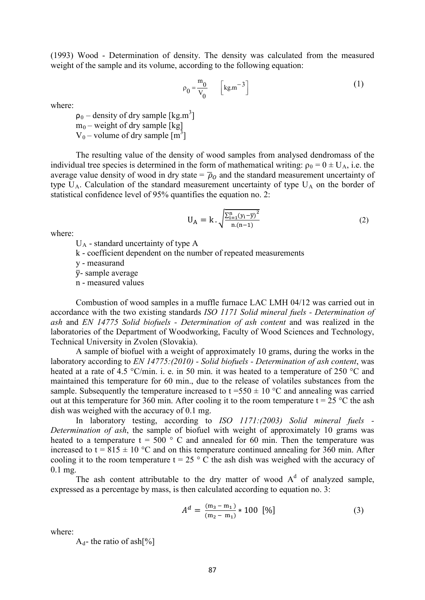(1993) Wood - Determination of density. The density was calculated from the measured weight of the sample and its volume, according to the following equation:

$$
\rho_0 = \frac{m_0}{V_0} \qquad \left[ \text{kg.m}^{-3} \right] \tag{1}
$$

where:

 $\rho_0$  – density of dry sample [kg.m<sup>3</sup>]  $m_0$  – weight of dry sample [kg]

 $V_0$  – volume of dry sample  $[m^3]$ 

The resulting value of the density of wood samples from analysed dendromass of the individual tree species is determined in the form of mathematical writing:  $\rho_0 = 0 \pm U_A$ , i.e. the average value density of wood in dry state =  $\bar{p}_0$  and the standard measurement uncertainty of type  $U_A$ . Calculation of the standard measurement uncertainty of type  $U_A$  on the border of statistical confidence level of 95% quantifies the equation no. 2:

$$
U_A = k \cdot \sqrt{\frac{\sum_{i=1}^{n} (y_i - \bar{y})^2}{n(n-1)}}
$$
 (2)

where:

 $U_A$  - standard uncertainty of type A

k - coefficient dependent on the number of repeated measurements

y - measurand

 $\bar{y}$ - sample average

n - measured values

Combustion of wood samples in a muffle furnace LAC LMH 04/12 was carried out in accordance with the two existing standards *ISO 1171 Solid mineral fuels - Determination of ash* and *EN 14775 Solid biofuels - Determination of ash content* and was realized in the laboratories of the Department of Woodworking, Faculty of Wood Sciences and Technology, Technical University in Zvolen (Slovakia).

A sample of biofuel with a weight of approximately 10 grams, during the works in the laboratory according to *EN 14775:(2010) - Solid biofuels - Determination of ash content*, was heated at a rate of 4.5 °C/min. i. e. in 50 min. it was heated to a temperature of 250 °C and maintained this temperature for 60 min., due to the release of volatiles substances from the sample. Subsequently the temperature increased to  $t = 550 \pm 10$  °C and annealing was carried out at this temperature for 360 min. After cooling it to the room temperature  $t = 25$  °C the ash dish was weighed with the accuracy of 0.1 mg.

In laboratory testing, according to *ISO 1171:(2003) Solid mineral fuels - Determination of ash*, the sample of biofuel with weight of approximately 10 grams was heated to a temperature  $t = 500$  ° C and annealed for 60 min. Then the temperature was increased to t =  $815 \pm 10$  °C and on this temperature continued annealing for 360 min. After cooling it to the room temperature  $t = 25$  ° C the ash dish was weighed with the accuracy of 0.1 mg.

The ash content attributable to the dry matter of wood  $A<sup>d</sup>$  of analyzed sample, expressed as a percentage by mass, is then calculated according to equation no. 3:

$$
A^{d} = \frac{(m_{3} - m_{1})}{(m_{2} - m_{1})} * 100 [%]
$$
 (3)

where:

 $A_d$ - the ratio of ash $[\%]$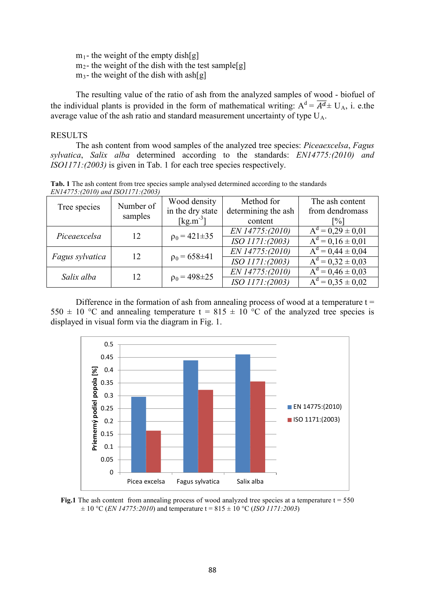$m_1$ - the weight of the empty dish[g]  $m<sub>2</sub>$ - the weight of the dish with the test sample[g]  $m_3$ - the weight of the dish with ash[g]

The resulting value of the ratio of ash from the analyzed samples of wood - biofuel of the individual plants is provided in the form of mathematical writing:  $A^d = \overline{A^d} \pm U_A$ , i. e.the average value of the ash ratio and standard measurement uncertainty of type  $U_A$ .

### RESULTS

The ash content from wood samples of the analyzed tree species: *Piceaexcelsa*, *Fagus sylvatica*, *Salix alba* determined according to the standards: *EN14775:(2010) and ISO1171:(2003)* is given in Tab. 1 for each tree species respectively.

**Tab. 1** The ash content from tree species sample analysed determined according to the standards *EN14775:(2010) and ISO1171:(2003)*

| $E[1177779042010]$ and $E[20097]$ |                      |                              |                     |                       |
|-----------------------------------|----------------------|------------------------------|---------------------|-----------------------|
| Tree species                      | Number of<br>samples | Wood density                 | Method for          | The ash content       |
|                                   |                      | in the dry state             | determining the ash | from dendromass       |
|                                   |                      | $\left[\text{kg.m}^3\right]$ | content             | $\frac{1}{2}$         |
| Piceaexcelsa                      | 12                   | $p_0 = 421 \pm 35$           | EN 14775:(2010)     | $A^d = 0.29 \pm 0.01$ |
|                                   |                      |                              | ISO 1171:(2003)     | $A^d = 0.16 \pm 0.01$ |
| Fagus sylvatica                   | 12                   | $p_0 = 658 \pm 41$           | EN 14775:(2010)     | $A^d = 0.44 \pm 0.04$ |
|                                   |                      |                              | ISO 1171:(2003)     | $A^d = 0.32 \pm 0.03$ |
| Salix alba                        | 12                   | $p_0 = 498 \pm 25$           | EN 14775:(2010)     | $A^d = 0.46 \pm 0.03$ |
|                                   |                      |                              | ISO 1171:(2003)     | $A^d = 0.35 \pm 0.02$ |

Difference in the formation of ash from annealing process of wood at a temperature  $t =$ 550  $\pm$  10 °C and annealing temperature t = 815  $\pm$  10 °C of the analyzed tree species is displayed in visual form via the diagram in Fig. 1.



**Fig.1** The ash content from annealing process of wood analyzed tree species at a temperature  $t = 550$  $\pm 10$  °C (*EN 14775:2010*) and temperature t = 815  $\pm 10$  °C (*ISO 1171:2003*)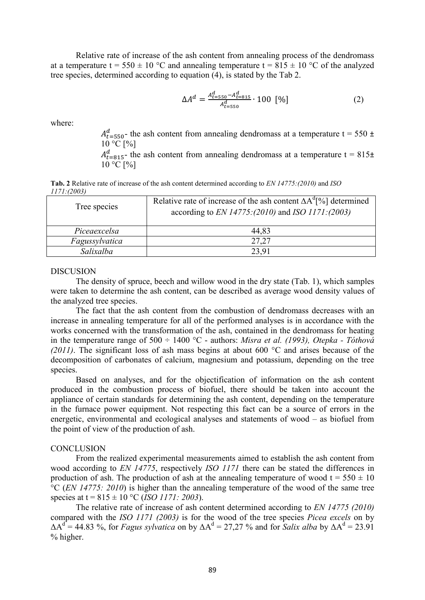Relative rate of increase of the ash content from annealing process of the dendromass at a temperature t = 550  $\pm$  10 °C and annealing temperature t = 815  $\pm$  10 °C of the analyzed tree species, determined according to equation (4), is stated by the Tab 2.

$$
\Delta A^d = \frac{A_{t=550}^d - A_{t=815}^d}{A_{t=550}^d} \cdot 100 \, [\%]
$$
 (2)

where:

 $A_{t=550}^{d}$  the ash content from annealing dendromass at a temperature t = 550 ±  $10 °C$  [%]

 $A_{t=815}^{d}$  the ash content from annealing dendromass at a temperature t = 815 $\pm$  $10 °C [$ %]

**Tab. 2** Relative rate of increase of the ash content determined according to *EN 14775:(2010)* and *ISO 1171:(2003)*

| Tree species   | Relative rate of increase of the ash content $\Delta A^d$ [%] determined<br>according to <i>EN 14775:(2010)</i> and <i>ISO 1171:(2003)</i> |
|----------------|--------------------------------------------------------------------------------------------------------------------------------------------|
| Piceaexcelsa   | 44,83                                                                                                                                      |
| Fagussylvatica | 27.27                                                                                                                                      |
| Salixalba      | 23.91                                                                                                                                      |

#### **DISCUSION**

The density of spruce, beech and willow wood in the dry state (Tab. 1), which samples were taken to determine the ash content, can be described as average wood density values of the analyzed tree species.

The fact that the ash content from the combustion of dendromass decreases with an increase in annealing temperature for all of the performed analyses is in accordance with the works concerned with the transformation of the ash, contained in the dendromass for heating in the temperature range of 500 ÷ 1400 °C - authors: *Misra et al. (1993), Otepka - Tóthová (2011)*. The significant loss of ash mass begins at about 600 °C and arises because of the decomposition of carbonates of calcium, magnesium and potassium, depending on the tree species.

Based on analyses, and for the objectification of information on the ash content produced in the combustion process of biofuel, there should be taken into account the appliance of certain standards for determining the ash content, depending on the temperature in the furnace power equipment. Not respecting this fact can be a source of errors in the energetic, environmental and ecological analyses and statements of wood – as biofuel from the point of view of the production of ash.

## **CONCLUSION**

From the realized experimental measurements aimed to establish the ash content from wood according to *EN 14775*, respectively *ISO 1171* there can be stated the differences in production of ash. The production of ash at the annealing temperature of wood  $t = 550 \pm 10$ °C (*EN 14775: 2010*) is higher than the annealing temperature of the wood of the same tree species at t = 815 ± 10 °C (*ISO 1171: 2003*).

The relative rate of increase of ash content determined according to *EN 14775 (2010)* compared with the *ISO 1171 (2003)* is for the wood of the tree species *Picea excels* on by  $\Delta A^d = 44.83$  %, for *Fagus sylvatica* on by  $\Delta A^d = 27.27$  % and for *Salix alba* by  $\Delta A^d = 23.91$ % higher.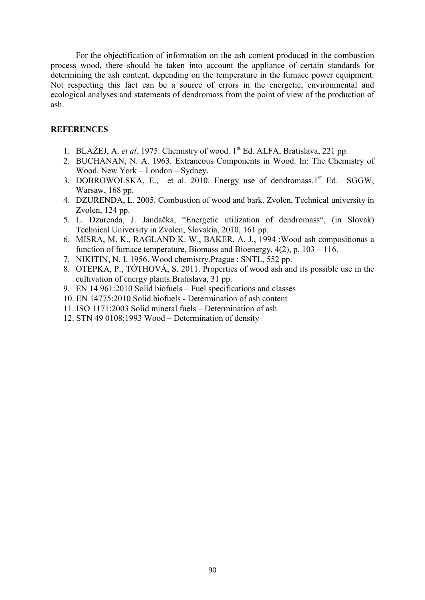For the objectification of information on the ash content produced in the combustion process wood, there should be taken into account the appliance of certain standards for determining the ash content, depending on the temperature in the furnace power equipment. Not respecting this fact can be a source of errors in the energetic, environmental and ecological analyses and statements of dendromass from the point of view of the production of ash.

## **REFERENCES**

- 1. BLAŽEJ, A. *et al*. 1975. Chemistry of wood. 1st Ed. ALFA, Bratislava, 221 pp.
- 2. BUCHANAN, N. A. 1963. Extraneous Components in Wood. In: The Chemistry of Wood. New York – London – Sydney.
- 3. DOBROWOLSKA, E., et al. 2010. Energy use of dendromass.1st Ed. SGGW, Warsaw, 168 pp.
- 4. DZURENDA, L. 2005. Combustion of wood and bark. Zvolen, Technical university in Zvolen, 124 pp.
- 5. L. Dzurenda, J. Jandačka, "Energetic utilization of dendromass", (in Slovak) Technical University in Zvolen, Slovakia, 2010, 161 pp.
- 6. MISRA, M. K., RAGLAND K. W., BAKER, A. J., 1994 :Wood ash compositionas a function of furnace temperature. Biomass and Bioenergy, 4(2), p. 103 – 116.
- 7. NIKITIN, N. I. 1956. Wood chemistry.Prague : SNTL, 552 pp.
- 8. OTEPKA, P., TÓTHOVÁ, S. 2011. Properties of wood ash and its possible use in the cultivation of energy plants.Bratislava, 31 pp.
- 9. EN 14 961:2010 Solid biofuels Fuel specifications and classes
- 10. EN 14775:2010 Solid biofuels Determination of ash content
- 11. ISO 1171:2003 Solid mineral fuels Determination of ash
- 12. STN 49 0108:1993 Wood Determination of density